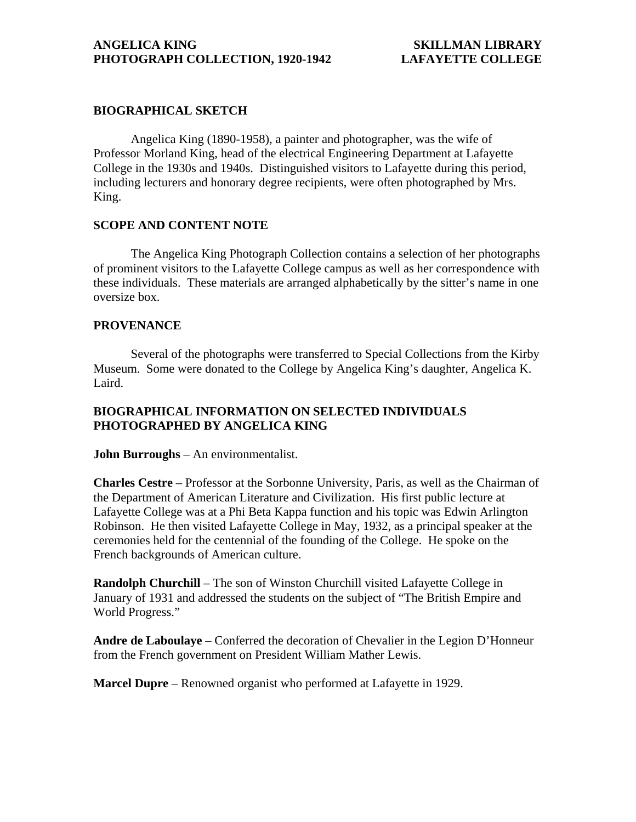### **BIOGRAPHICAL SKETCH**

 Angelica King (1890-1958), a painter and photographer, was the wife of Professor Morland King, head of the electrical Engineering Department at Lafayette College in the 1930s and 1940s. Distinguished visitors to Lafayette during this period, including lecturers and honorary degree recipients, were often photographed by Mrs. King.

# **SCOPE AND CONTENT NOTE**

 The Angelica King Photograph Collection contains a selection of her photographs of prominent visitors to the Lafayette College campus as well as her correspondence with these individuals. These materials are arranged alphabetically by the sitter's name in one oversize box.

#### **PROVENANCE**

 Several of the photographs were transferred to Special Collections from the Kirby Museum. Some were donated to the College by Angelica King's daughter, Angelica K. Laird.

## **BIOGRAPHICAL INFORMATION ON SELECTED INDIVIDUALS PHOTOGRAPHED BY ANGELICA KING**

#### **John Burroughs** – An environmentalist.

**Charles Cestre** – Professor at the Sorbonne University, Paris, as well as the Chairman of the Department of American Literature and Civilization. His first public lecture at Lafayette College was at a Phi Beta Kappa function and his topic was Edwin Arlington Robinson. He then visited Lafayette College in May, 1932, as a principal speaker at the ceremonies held for the centennial of the founding of the College. He spoke on the French backgrounds of American culture.

**Randolph Churchill** – The son of Winston Churchill visited Lafayette College in January of 1931 and addressed the students on the subject of "The British Empire and World Progress."

**Andre de Laboulaye** – Conferred the decoration of Chevalier in the Legion D'Honneur from the French government on President William Mather Lewis.

**Marcel Dupre** – Renowned organist who performed at Lafayette in 1929.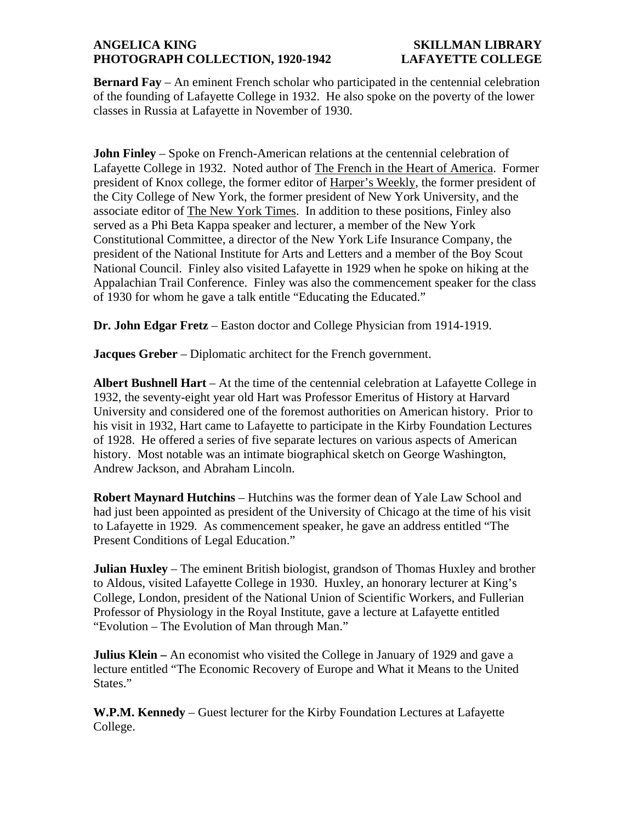# **ANGELICA KING SKILLMAN LIBRARY PHOTOGRAPH COLLECTION, 1920-1942 LAFAYETTE COLLEGE**

**Bernard Fay** – An eminent French scholar who participated in the centennial celebration of the founding of Lafayette College in 1932. He also spoke on the poverty of the lower classes in Russia at Lafayette in November of 1930.

**John Finley** – Spoke on French-American relations at the centennial celebration of Lafayette College in 1932. Noted author of The French in the Heart of America. Former president of Knox college, the former editor of Harper's Weekly, the former president of the City College of New York, the former president of New York University, and the associate editor of The New York Times. In addition to these positions, Finley also served as a Phi Beta Kappa speaker and lecturer, a member of the New York Constitutional Committee, a director of the New York Life Insurance Company, the president of the National Institute for Arts and Letters and a member of the Boy Scout National Council. Finley also visited Lafayette in 1929 when he spoke on hiking at the Appalachian Trail Conference. Finley was also the commencement speaker for the class of 1930 for whom he gave a talk entitle "Educating the Educated."

**Dr. John Edgar Fretz** – Easton doctor and College Physician from 1914-1919.

**Jacques Greber** – Diplomatic architect for the French government.

**Albert Bushnell Hart** – At the time of the centennial celebration at Lafayette College in 1932, the seventy-eight year old Hart was Professor Emeritus of History at Harvard University and considered one of the foremost authorities on American history. Prior to his visit in 1932, Hart came to Lafayette to participate in the Kirby Foundation Lectures of 1928. He offered a series of five separate lectures on various aspects of American history. Most notable was an intimate biographical sketch on George Washington, Andrew Jackson, and Abraham Lincoln.

**Robert Maynard Hutchins** – Hutchins was the former dean of Yale Law School and had just been appointed as president of the University of Chicago at the time of his visit to Lafayette in 1929. As commencement speaker, he gave an address entitled "The Present Conditions of Legal Education."

**Julian Huxley** – The eminent British biologist, grandson of Thomas Huxley and brother to Aldous, visited Lafayette College in 1930. Huxley, an honorary lecturer at King's College, London, president of the National Union of Scientific Workers, and Fullerian Professor of Physiology in the Royal Institute, gave a lecture at Lafayette entitled "Evolution – The Evolution of Man through Man."

**Julius Klein –** An economist who visited the College in January of 1929 and gave a lecture entitled "The Economic Recovery of Europe and What it Means to the United States."

**W.P.M. Kennedy** – Guest lecturer for the Kirby Foundation Lectures at Lafayette College.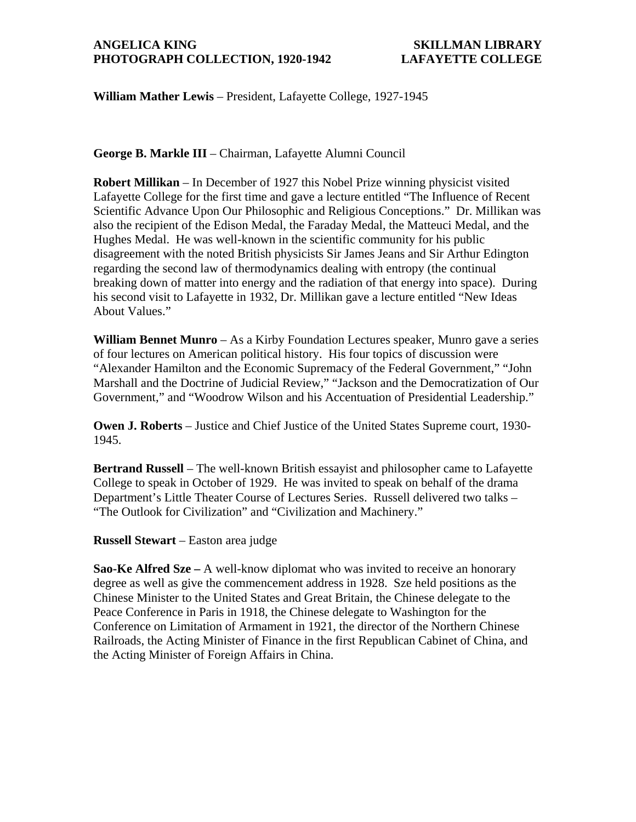### **ANGELICA KING SKILLMAN LIBRARY PHOTOGRAPH COLLECTION, 1920-1942 LAFAYETTE COLLEGE**

**William Mather Lewis** – President, Lafayette College, 1927-1945

**George B. Markle III** – Chairman, Lafayette Alumni Council

**Robert Millikan** – In December of 1927 this Nobel Prize winning physicist visited Lafayette College for the first time and gave a lecture entitled "The Influence of Recent Scientific Advance Upon Our Philosophic and Religious Conceptions." Dr. Millikan was also the recipient of the Edison Medal, the Faraday Medal, the Matteuci Medal, and the Hughes Medal. He was well-known in the scientific community for his public disagreement with the noted British physicists Sir James Jeans and Sir Arthur Edington regarding the second law of thermodynamics dealing with entropy (the continual breaking down of matter into energy and the radiation of that energy into space). During his second visit to Lafayette in 1932, Dr. Millikan gave a lecture entitled "New Ideas About Values."

**William Bennet Munro** – As a Kirby Foundation Lectures speaker, Munro gave a series of four lectures on American political history. His four topics of discussion were "Alexander Hamilton and the Economic Supremacy of the Federal Government," "John Marshall and the Doctrine of Judicial Review," "Jackson and the Democratization of Our Government," and "Woodrow Wilson and his Accentuation of Presidential Leadership."

**Owen J. Roberts** – Justice and Chief Justice of the United States Supreme court, 1930- 1945.

**Bertrand Russell** – The well-known British essayist and philosopher came to Lafayette College to speak in October of 1929. He was invited to speak on behalf of the drama Department's Little Theater Course of Lectures Series. Russell delivered two talks – "The Outlook for Civilization" and "Civilization and Machinery."

**Russell Stewart** – Easton area judge

**Sao-Ke Alfred Sze –** A well-know diplomat who was invited to receive an honorary degree as well as give the commencement address in 1928. Sze held positions as the Chinese Minister to the United States and Great Britain, the Chinese delegate to the Peace Conference in Paris in 1918, the Chinese delegate to Washington for the Conference on Limitation of Armament in 1921, the director of the Northern Chinese Railroads, the Acting Minister of Finance in the first Republican Cabinet of China, and the Acting Minister of Foreign Affairs in China.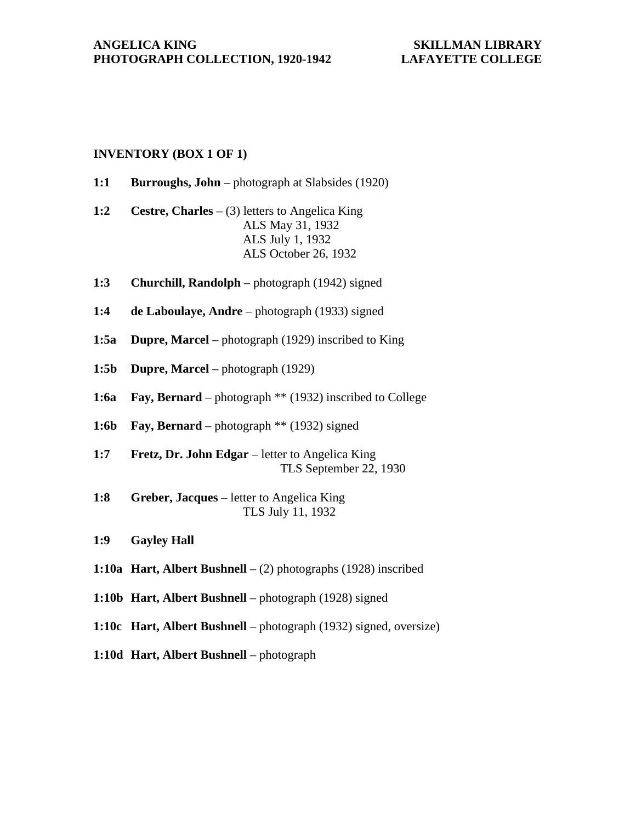## **INVENTORY (BOX 1 OF 1)**

- **1:1 Burroughs, John** photograph at Slabsides (1920)
- **1:2 Cestre, Charles** (3) letters to Angelica King ALS May 31, 1932 ALS July 1, 1932 ALS October 26, 1932
- **1:3 Churchill, Randolph** photograph (1942) signed
- **1:4 de Laboulaye, Andre** photograph (1933) signed
- **1:5a** Dupre, Marcel photograph (1929) inscribed to King
- **1:5b Dupre, Marcel** photograph (1929)
- **1:6a Fay, Bernard** photograph \*\* (1932) inscribed to College
- **1:6b Fay, Bernard** photograph \*\* (1932) signed
- **1:7 Fretz, Dr. John Edgar** letter to Angelica King TLS September 22, 1930
- **1:8 Greber, Jacques** letter to Angelica King TLS July 11, 1932
- **1:9 Gayley Hall**
- **1:10a Hart, Albert Bushnell** (2) photographs (1928) inscribed
- **1:10b Hart, Albert Bushnell** photograph (1928) signed
- **1:10c Hart, Albert Bushnell** photograph (1932) signed, oversize)
- **1:10d Hart, Albert Bushnell** photograph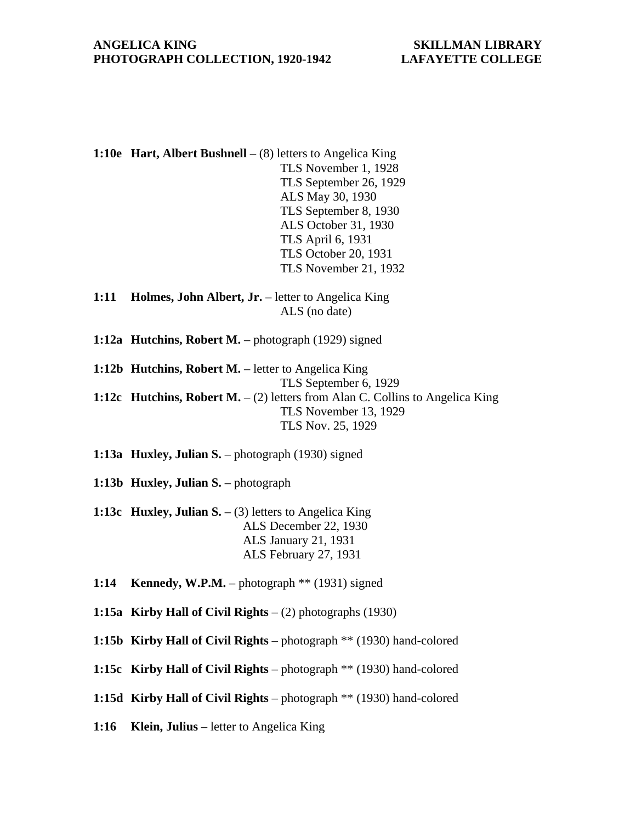**1:10e Hart, Albert Bushnell** – (8) letters to Angelica King TLS November 1, 1928 TLS September 26, 1929 ALS May 30, 1930 TLS September 8, 1930 ALS October 31, 1930 TLS April 6, 1931 TLS October 20, 1931 TLS November 21, 1932

- **1:11 Holmes, John Albert, Jr.** letter to Angelica King ALS (no date)
- **1:12a Hutchins, Robert M.** photograph (1929) signed
- **1:12b Hutchins, Robert M.** letter to Angelica King TLS September 6, 1929 **1:12c Hutchins, Robert M.** – (2) letters from Alan C. Collins to Angelica King TLS November 13, 1929 TLS Nov. 25, 1929

**1:13a Huxley, Julian S.** – photograph (1930) signed

**1:13b Huxley, Julian S.** – photograph

- **1:13c Huxley, Julian S.** (3) letters to Angelica King ALS December 22, 1930 ALS January 21, 1931 ALS February 27, 1931
- **1:14 Kennedy, W.P.M.** photograph \*\* (1931) signed
- **1:15a Kirby Hall of Civil Rights** (2) photographs (1930)
- **1:15b Kirby Hall of Civil Rights** photograph \*\* (1930) hand-colored
- **1:15c Kirby Hall of Civil Rights** photograph \*\* (1930) hand-colored
- **1:15d Kirby Hall of Civil Rights** photograph \*\* (1930) hand-colored
- **1:16 Klein, Julius** letter to Angelica King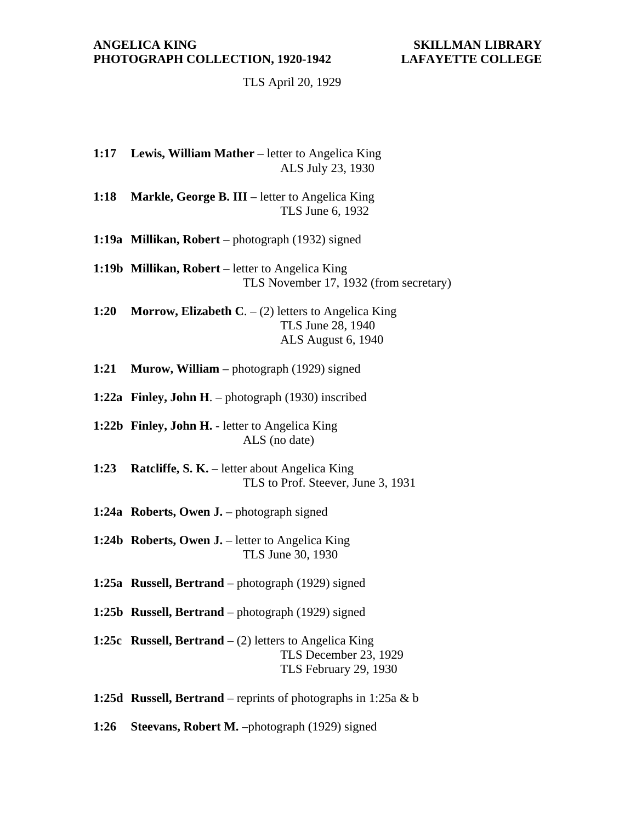TLS April 20, 1929

- **1:17 Lewis, William Mather** letter to Angelica King ALS July 23, 1930
- **1:18 Markle, George B. III** letter to Angelica King TLS June 6, 1932
- **1:19a Millikan, Robert** photograph (1932) signed
- 1:19b Millikan, Robert letter to Angelica King TLS November 17, 1932 (from secretary)
- **1:20 Morrow, Elizabeth C**. (2) letters to Angelica King TLS June 28, 1940 ALS August 6, 1940
- **1:21 Murow, William** photograph (1929) signed
- **1:22a Finley, John H**. photograph (1930) inscribed
- **1:22b Finley, John H.** letter to Angelica King ALS (no date)
- **1:23 Ratcliffe, S. K.** letter about Angelica King TLS to Prof. Steever, June 3, 1931
- **1:24a Roberts, Owen J.** photograph signed
- **1:24b Roberts, Owen J.** letter to Angelica King TLS June 30, 1930
- **1:25a Russell, Bertrand** photograph (1929) signed
- **1:25b Russell, Bertrand** photograph (1929) signed
- **1:25c Russell, Bertrand** (2) letters to Angelica King TLS December 23, 1929 TLS February 29, 1930
- **1:25d Russell, Bertrand** reprints of photographs in 1:25a & b
- **1:26 Steevans, Robert M.** –photograph (1929) signed